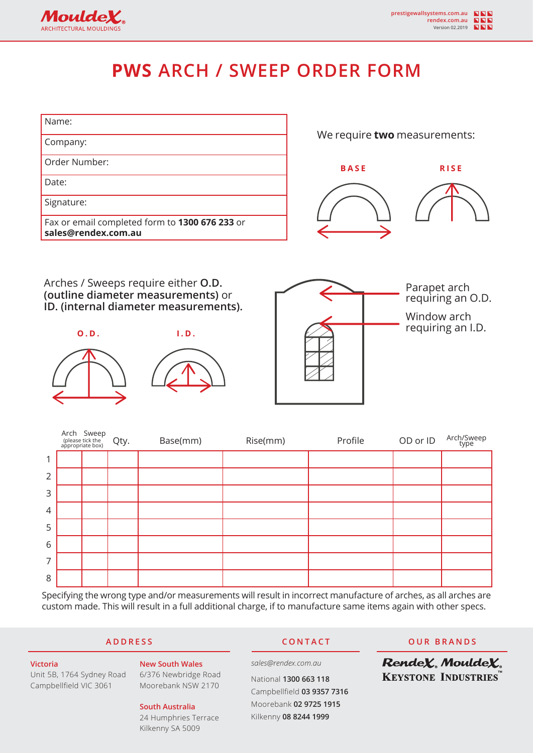

# **PWS ARCH / SWEEP ORDER FORM**

| Name:                                                                 |                              |             |
|-----------------------------------------------------------------------|------------------------------|-------------|
| Company:                                                              | We require two measurements: |             |
| Order Number:                                                         | <b>BASE</b>                  | <b>RISE</b> |
| Date:                                                                 |                              |             |
| Signature:                                                            |                              |             |
| Fax or email completed form to 1300 676 233 or<br>sales@rendex.com.au |                              |             |
|                                                                       |                              |             |
|                                                                       |                              |             |

Arches / Sweeps require either **O.D. (outline diameter measurements)** or **ID. (internal diameter measurements).**

**Moulde** ARCHITECTURAL MOULDING





Parapet arch requiring an O.D.

Window arch requiring an I.D.

|                | Arch Sweep<br>(please tick the<br>appropriate box) | Qty. | Base(mm) | Rise(mm) | Profile | OD or ID | Arch/Sweep<br>type |
|----------------|----------------------------------------------------|------|----------|----------|---------|----------|--------------------|
| 1              |                                                    |      |          |          |         |          |                    |
| $\overline{2}$ |                                                    |      |          |          |         |          |                    |
| 3              |                                                    |      |          |          |         |          |                    |
| $\overline{4}$ |                                                    |      |          |          |         |          |                    |
| 5              |                                                    |      |          |          |         |          |                    |
| 6              |                                                    |      |          |          |         |          |                    |
| 7              |                                                    |      |          |          |         |          |                    |
| 8              |                                                    |      |          |          |         |          |                    |

Specifying the wrong type and/or measurements will result in incorrect manufacture of arches, as all arches are custom made. This will result in a full additional charge, if to manufacture same items again with other specs.

### **ADDRESS CONTACT OUR BRANDS**

RendeX. MouldeX. **KEYSTONE INDUSTRIES** 

**Victoria** Unit 5B, 1764 Sydney Road Campbellfield VIC 3061

### **South Australia**

**New South Wales** 6/376 Newbridge Road Moorebank NSW 2170

The information contained in this document may change without given notice. MouldeX is a registered trademark of  $P$ 24 Humphries Terrace Kilkenny SA 5009

## *sales@rendex.com.au*

National **1300 663 118** Campbellfield **03 9357 7316** Moorebank **02 9725 1915** Kilkenny **08 8244 1999**